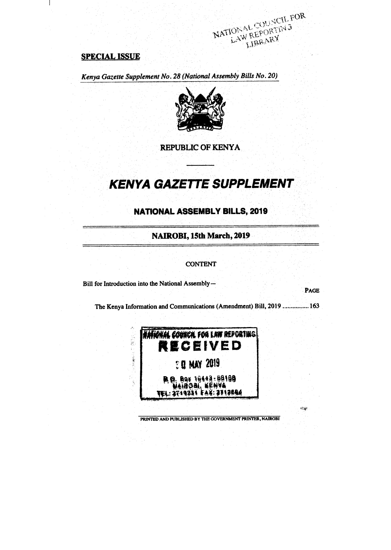# **SPECIAL ISSUE**

 $\mathbf{I}$ 

*Kenya Gazette Supplement No. 28 (National Assembly Bills No. 20)* 



NATIONAL COUNCIL FOR

**REPUBLIC OF KENYA** 

# **KENYA GAZETTE SUPPLEMENT**

# **NATIONAL ASSEMBLY BILLS, 2019**

**NAIROBI, 15th March, 2019** 

#### **CONTENT**

**Bill for Introduction into the National Assembly—** 

**PAGE** 

rija.

The Kenya Information and Communications (Amendment) Bill, 2019 ................ 163



**PRINTED AND PUBUSHED BY THE GOVERNMENT PRINTER, NAIROBI**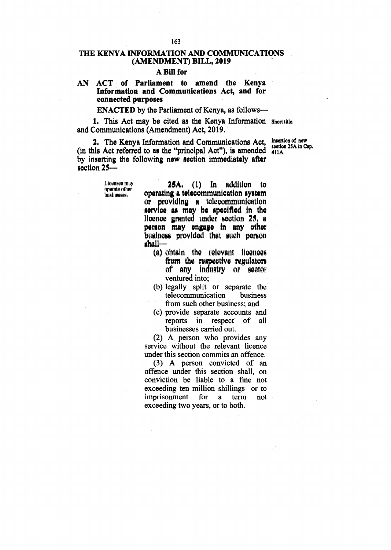# **THE KENYA INFORMATION AND COMMUNICATIONS (AMENDMENT) BILL, 2019**

#### **A Bill for**

## **AN ACT of Parliament to amend the Kenya Information and Communications Act, and for connected purposes**

#### **ENACTED by the Parliament of Kenya, as follows-**

**1. This Act may be cited as the Kenya Information Short title. and Communications (Amendment) Act, 2019.** 

2. The Kenya Information and Communications Act, (in this Act referred to as the "principal Act"), is amended by inserting the following new section immediately after section 25-**411A,** 

> **Licensee may operate other businesses.**

25A. (1) In addition to operating a telecommunication system or providing a telecommunication service as may be specified in the licence granted under section 25, a person may engage in any other business provided that such person shall=

- (a) obtain the relevant licences from the respective regulators of any industry or sector ventured into;
- (b) legally split or separate the telecommunication business telecommunication from such other business; and
- (c) provide separate accounts and reports in respect businesses carried out.

(2) A person who provides any service without the relevant licence under this section commits an offence.

(3) A person convicted of an offence under this section shall, on conviction be liable to a fine not exceeding ten million shillings or to<br>imprisonment for a term not imprisonment exceeding two years, or to both.

**Insertion of new section 25A in Cap.**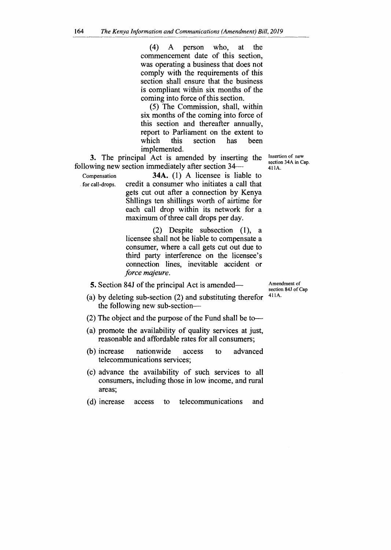(4) A person who, at the commencement date of this section, was operating a business that does not comply with the requirements of this section shall ensure that the business is compliant within six months of the coming into force of this section.

(5) The Commission, shall, within six months of the coming into force of this section and thereafter annually, report to Parliament on the extent to which this section has been implemented.

**3.** The principal Act is amended by inserting the following new section immediately after section 34—

Compensation **34A.** (1) A licensee is liable to for call-drops. credit a consumer who initiates a call that gets cut out after a connection by Kenya Shllings ten shillings worth of airtime for each call drop within its network for a maximum of three call drops per day.

> (2) Despite subsection (1), a licensee shall not be liable to compensate a consumer, where a call gets cut out due to third party interference on the licensee's connection lines, inevitable accident or *force majeure.*

Insertion of new section 34A in Cap. 411A.

**5.** Section 84J of the principal Act is amended—

Amendment of section 84J of Cap 411A.

- (a) by deleting sub-section (2) and substituting therefor the following new sub-section—
- (2) The object and the purpose of the Fund shall be to—
- (a) promote the availability of quality services at just, reasonable and affordable rates for all consumers;
- (b) increase nationwide access to advanced telecommunications services;
- (c) advance the availability of such services to all consumers, including those in low income, and rural areas;
- (d) increase access to telecommunications and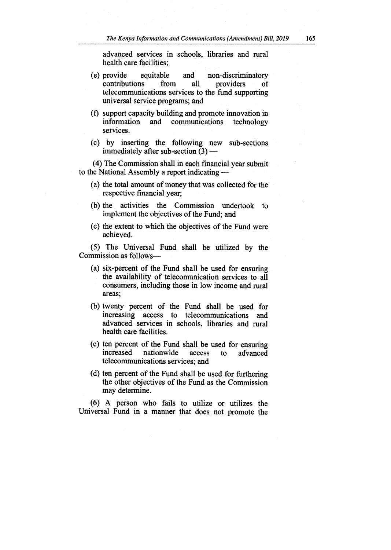advanced services in schools, libraries and rural health care facilities;

- (e) provide equitable and non-discriminatory contributions from all providers of telecommunications services to the fund supporting universal service programs; and
- (f) support capacity building and promote innovation in information and communications technology services.
- (c) by inserting the following new sub-sections immediately after sub-section (3) —

(4) The Commission shall in each financial year submit to the National Assembly a report indicating —

- (a) the total amount of money that was collected for the respective financial year;
- (b) the activities the Commission undertook to implement the objectives of the Fund; and
- (c) the extent to which the objectives of the Fund were achieved.

(5) The Universal Fund shall be utilized by the Commission as follows—

- (a) six-percent of the Fund shall be used for ensuring the availability of telecomunication services to all consumers, including those in low income and rural areas;
- (b) twenty percent of the Fund shall be used for increasing access to telecommunications and advanced services in schools, libraries and rural health care facilities.
- (c) ten percent of the Fund shall be used for ensuring<br>increased nationwide access to advanced nationwide access to advanced telecommunications services; and
- (d) ten percent of the Fund shall be used for furthering the other objectives of the Fund as the Commission may determine.

(6) A person who fails to utilize or utilizes the Universal Fund in a manner that does not promote the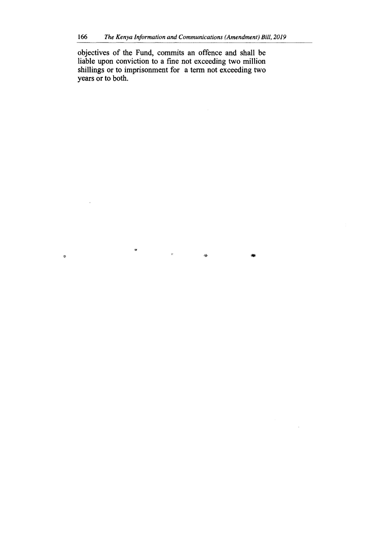objectives of the Fund, commits an offence and shall be liable upon conviction to a fine not exceeding two million shillings or to imprisonment for a term not exceeding two years or to both.

 $\frac{1}{2}$ 

 $\frac{\partial \mathbf{p}}{\partial t}$ 

 $\hat{\mathcal{W}}$ 

 $\sim$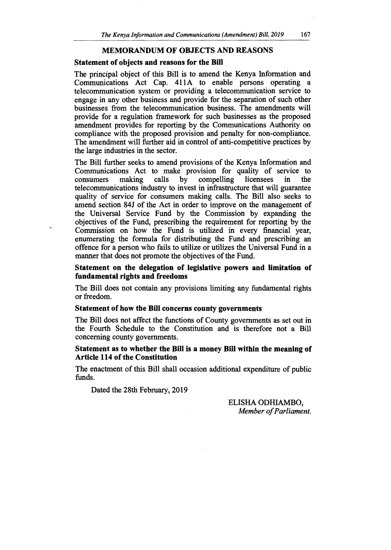### **MEMORANDUM OF OBJECTS AND REASONS**

### **Statement of objects and reasons for the Bill**

The principal object of this Bill is to amend the Kenya Information and Communications Act Cap. 411A to enable persons operating a telecommunication system or providing a telecommunication service to engage in any other business and provide for the separation of such other businesses from the telecommunication business. The amendments will provide for a regulation framework for such businesses as the proposed amendment provides for reporting by the Communications Authority on compliance with the proposed provision and penalty for non-compliance. The amendment will further aid in control of anti-competitive practices by the large industries in the sector.

The Bill further seeks to amend provisions of the Kenya Information and Communications Act to make provision for quality of service to consumers making calls by compelling licensees in the consumers making calls by compelling licensees in the telecommunications industry to invest in infrastructure that will guarantee quality of service for consumers making calls. The Bill also seeks to amend section 84J of the Act in order to improve on the management of the Universal Service Fund by the Commission by expanding the objectives of the Fund, prescribing the requirement for reporting by the Commission on how the Fund is utilized in every financial year, enumerating the formula for distributing the Fund and prescribing an offence for a person who fails to utilize or utilizes the Universal Fund in a manner that does not promote the objectives of the Fund.

**Statement on the delegation of legislative powers and limitation of fundamental rights and freedoms** 

The Bill does not contain any provisions limiting any fundamental rights or freedom.

#### **Statement of how the Bill concerns county governments**

The Bill does not affect the functions of County governments as set out in the Fourth Schedule to the Constitution and is therefore not a Bill concerning county governments.

## Statement as to whether the Bill is a money Bill within the meaning of **Article 114 of the Constitution**

The enactment of this Bill shall occasion additional expenditure of public funds.

Dated the 28th February, 2019

ELISHA ODHIAMBO, *Member of Parliament.*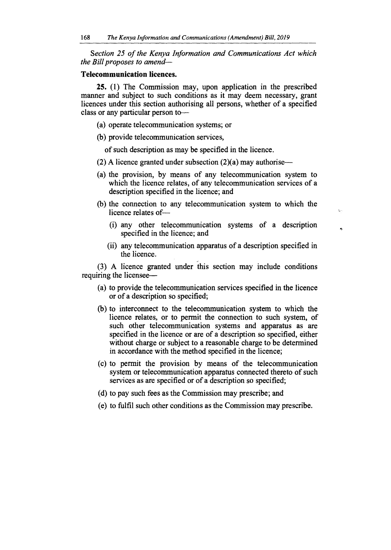*Section 25 of the Kenya Information and Communications Act which the Bill proposes to amend—* 

## **Telecommunication licences.**

**25.** (1) The Commission may, upon application in the prescribed manner and subject to such conditions as it may deem necessary, grant licences under this section authorising all persons, whether of a specified class or any particular person to—

- (a) operate telecommunication systems; or
- (b) provide telecommunication services,

of such description as may be specified in the licence.

- (2) A licence granted under subsection  $(2)(a)$  may authorise—
- (a) the provision, by means of any telecommunication system to which the licence relates, of any telecommunication services of a description specified in the licence; and
- (b) the connection to any telecommunication system to which the licence relates of—
	- (i) any other telecommunication systems of a description specified in the licence; and

 $\hat{r}_\mathrm{a}$  .

 $\ddot{\phantom{a}}$ 

(ii) any telecommunication apparatus of a description specified in the licence.

(3) A licence granted under this section may include conditions requiring the licensee—

- (a) to provide the telecommunication services specified in the licence or of a description so specified;
- (b) to interconnect to the telecommunication system to which the licence relates, or to permit the connection to such system, of such other telecommunication systems and apparatus as are specified in the licence or are of a description so specified, either without charge or subject to a reasonable charge to be determined in accordance with the method specified in the licence;
- (c) to permit the provision by means of the telecommunication system or telecommunication apparatus connected thereto of such services as are specified or of a description so specified;
- (d) to pay such fees as the Commission may prescribe; and
- (e) to fulfil such other conditions as the Commission may prescribe.